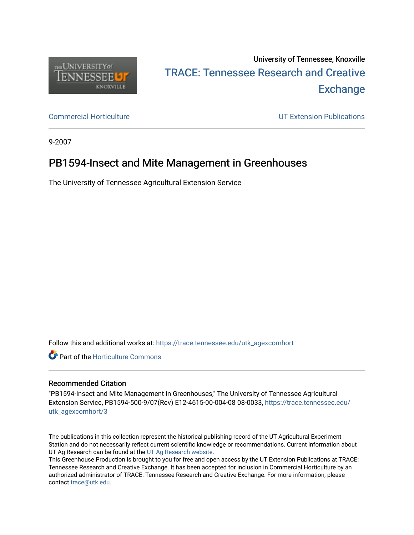

# University of Tennessee, Knoxville TRACE: T[ennessee Research and Cr](https://trace.tennessee.edu/)eative **Exchange**

[Commercial Horticulture](https://trace.tennessee.edu/utk_agexcomhort) [UT Extension Publications](https://trace.tennessee.edu/utk_agriextn) 

9-2007

# PB1594-Insect and Mite Management in Greenhouses

The University of Tennessee Agricultural Extension Service

Follow this and additional works at: [https://trace.tennessee.edu/utk\\_agexcomhort](https://trace.tennessee.edu/utk_agexcomhort?utm_source=trace.tennessee.edu%2Futk_agexcomhort%2F3&utm_medium=PDF&utm_campaign=PDFCoverPages) 

**C** Part of the Horticulture Commons

#### Recommended Citation

"PB1594-Insect and Mite Management in Greenhouses," The University of Tennessee Agricultural Extension Service, PB1594-500-9/07(Rev) E12-4615-00-004-08 08-0033, [https://trace.tennessee.edu/](https://trace.tennessee.edu/utk_agexcomhort/3) [utk\\_agexcomhort/3](https://trace.tennessee.edu/utk_agexcomhort/3)

The publications in this collection represent the historical publishing record of the UT Agricultural Experiment Station and do not necessarily reflect current scientific knowledge or recommendations. Current information about UT Ag Research can be found at the [UT Ag Research website.](http://agresearch.tennessee.edu/)

This Greenhouse Production is brought to you for free and open access by the UT Extension Publications at TRACE: Tennessee Research and Creative Exchange. It has been accepted for inclusion in Commercial Horticulture by an authorized administrator of TRACE: Tennessee Research and Creative Exchange. For more information, please contact [trace@utk.edu](mailto:trace@utk.edu).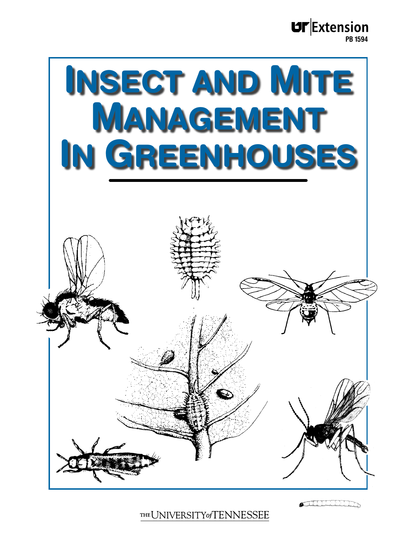**UF**Extension PB 1594



THE UNIVERSITY of TENNESSEE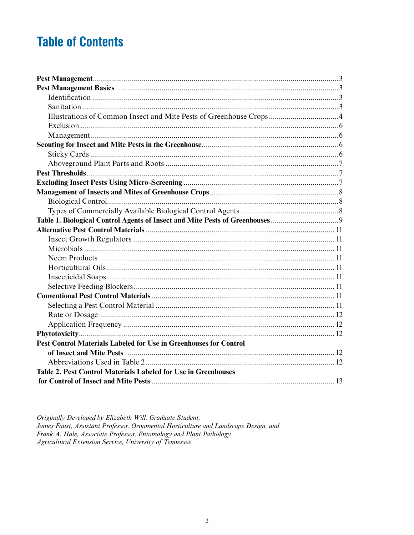# **Table of Contents**

| Illustrations of Common Insect and Mite Pests of Greenhouse Crops4       |  |
|--------------------------------------------------------------------------|--|
|                                                                          |  |
|                                                                          |  |
|                                                                          |  |
|                                                                          |  |
|                                                                          |  |
|                                                                          |  |
|                                                                          |  |
|                                                                          |  |
|                                                                          |  |
|                                                                          |  |
|                                                                          |  |
|                                                                          |  |
|                                                                          |  |
|                                                                          |  |
|                                                                          |  |
|                                                                          |  |
|                                                                          |  |
|                                                                          |  |
|                                                                          |  |
|                                                                          |  |
|                                                                          |  |
|                                                                          |  |
|                                                                          |  |
| <b>Pest Control Materials Labeled for Use in Greenhouses for Control</b> |  |
|                                                                          |  |
|                                                                          |  |
| Table 2. Pest Control Materials Labeled for Use in Greenhouses           |  |
|                                                                          |  |

Originally Developed by Elizabeth Will, Graduate Student, James Faust, Assistant Professor, Ornamental Horticulture and Landscape Design, and Frank A. Hale, Associate Professor, Entomology and Plant Pathology, Agricultural Extension Service, University of Tennessee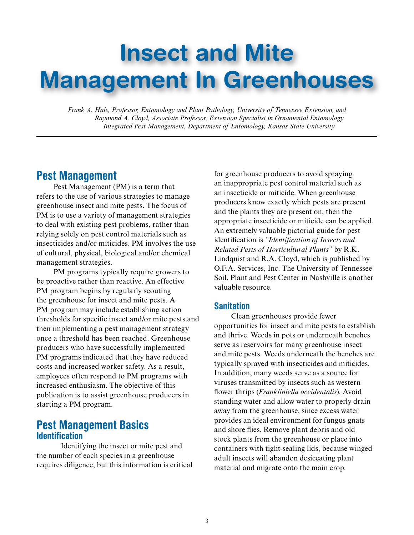# Insect and Mite Management In Greenhouses

*Frank A. Hale, Professor, Entomology and Plant Pathology, University of Tennessee Extension, and Raymond A. Cloyd, Associate Professor, Extension Specialist in Ornamental Entomology Integrated Pest Management, Department of Entomology, Kansas State University*

## Pest Management

Pest Management (PM) is a term that refers to the use of various strategies to manage greenhouse insect and mite pests. The focus of PM is to use a variety of management strategies to deal with existing pest problems, rather than relying solely on pest control materials such as insecticides and/or miticides. PM involves the use of cultural, physical, biological and/or chemical management strategies.

PM programs typically require growers to be proactive rather than reactive. An effective PM program begins by regularly scouting the greenhouse for insect and mite pests. A PM program may include establishing action thresholds for specific insect and/or mite pests and then implementing a pest management strategy once a threshold has been reached. Greenhouse producers who have successfully implemented PM programs indicated that they have reduced costs and increased worker safety. As a result, employees often respond to PM programs with increased enthusiasm. The objective of this publication is to assist greenhouse producers in starting a PM program.

### Pest Management Basics **Identification**

Identifying the insect or mite pest and the number of each species in a greenhouse requires diligence, but this information is critical for greenhouse producers to avoid spraying an inappropriate pest control material such as an insecticide or miticide. When greenhouse producers know exactly which pests are present and the plants they are present on, then the appropriate insecticide or miticide can be applied. An extremely valuable pictorial guide for pest identification is *"Identification of Insects and Related Pests of Horticultural Plants"* by R.K. Lindquist and R.A. Cloyd, which is published by O.F.A. Services, Inc. The University of Tennessee Soil, Plant and Pest Center in Nashville is another valuable resource.

#### **Sanitation**

Clean greenhouses provide fewer opportunities for insect and mite pests to establish and thrive. Weeds in pots or underneath benches serve as reservoirs for many greenhouse insect and mite pests. Weeds underneath the benches are typically sprayed with insecticides and miticides. In addition, many weeds serve as a source for viruses transmitted by insects such as western flower thrips (*Frankliniella occidentalis*). Avoid standing water and allow water to properly drain away from the greenhouse, since excess water provides an ideal environment for fungus gnats and shore flies. Remove plant debris and old stock plants from the greenhouse or place into containers with tight-sealing lids, because winged adult insects will abandon desiccating plant material and migrate onto the main crop.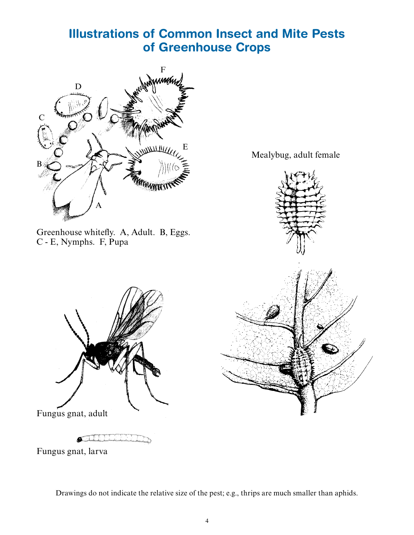# Illustrations of Common Insect and Mite Pests of Greenhouse Crops



Greenhouse whitefly. A, Adult. B, Eggs. C - E, Nymphs. F, Pupa

Fungus gnat, adult



Mealybug, adult female

 $\delta$ 

Fungus gnat, larva

Drawings do not indicate the relative size of the pest; e.g., thrips are much smaller than aphids.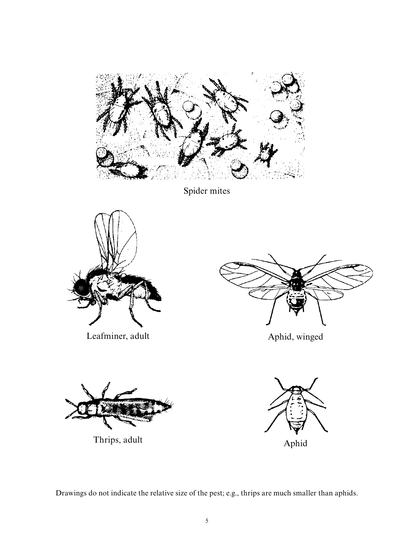

Spider mites



Leafminer, adult



Aphid, winged



Thrips, adult



Drawings do not indicate the relative size of the pest; e.g., thrips are much smaller than aphids.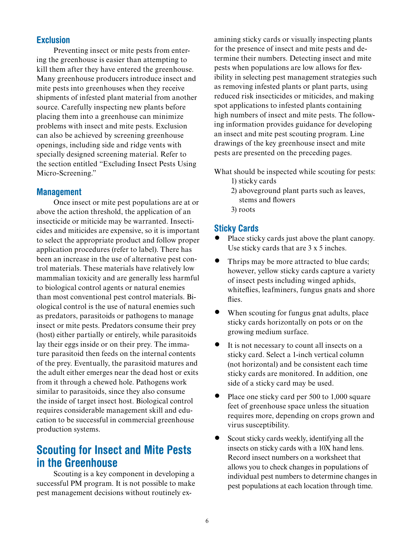#### **Exclusion**

Preventing insect or mite pests from entering the greenhouse is easier than attempting to kill them after they have entered the greenhouse. Many greenhouse producers introduce insect and mite pests into greenhouses when they receive shipments of infested plant material from another source. Carefully inspecting new plants before placing them into a greenhouse can minimize problems with insect and mite pests. Exclusion can also be achieved by screening greenhouse openings, including side and ridge vents with specially designed screening material. Refer to the section entitled "Excluding Insect Pests Using Micro-Screening."

#### Management

Once insect or mite pest populations are at or above the action threshold, the application of an insecticide or miticide may be warranted. Insecticides and miticides are expensive, so it is important to select the appropriate product and follow proper application procedures (refer to label). There has been an increase in the use of alternative pest control materials. These materials have relatively low mammalian toxicity and are generally less harmful to biological control agents or natural enemies than most conventional pest control materials. Biological control is the use of natural enemies such as predators, parasitoids or pathogens to manage insect or mite pests. Predators consume their prey (host) either partially or entirely, while parasitoids lay their eggs inside or on their prey. The immature parasitoid then feeds on the internal contents of the prey. Eventually, the parasitoid matures and the adult either emerges near the dead host or exits from it through a chewed hole. Pathogens work similar to parasitoids, since they also consume the inside of target insect host. Biological control requires considerable management skill and education to be successful in commercial greenhouse production systems.

# Scouting for Insect and Mite Pests in the Greenhouse

Scouting is a key component in developing a successful PM program. It is not possible to make pest management decisions without routinely examining sticky cards or visually inspecting plants for the presence of insect and mite pests and determine their numbers. Detecting insect and mite pests when populations are low allows for flexibility in selecting pest management strategies such as removing infested plants or plant parts, using reduced risk insecticides or miticides, and making spot applications to infested plants containing high numbers of insect and mite pests. The following information provides guidance for developing an insect and mite pest scouting program. Line drawings of the key greenhouse insect and mite pests are presented on the preceding pages.

What should be inspected while scouting for pests: 1) sticky cards

- 2) aboveground plant parts such as leaves, stems and flowers
- 3) roots

#### Sticky Cards

- Place sticky cards just above the plant canopy. Use sticky cards that are 3 x 5 inches.
- Thrips may be more attracted to blue cards; however, yellow sticky cards capture a variety of insect pests including winged aphids, whiteflies, leafminers, fungus gnats and shore flies.
- When scouting for fungus gnat adults, place sticky cards horizontally on pots or on the growing medium surface.
- It is not necessary to count all insects on a sticky card. Select a 1-inch vertical column (not horizontal) and be consistent each time sticky cards are monitored. In addition, one side of a sticky card may be used.
- Place one sticky card per 500 to 1,000 square feet of greenhouse space unless the situation requires more, depending on crops grown and virus susceptibility.
- Scout sticky cards weekly, identifying all the insects on sticky cards with a 10X hand lens. Record insect numbers on a worksheet that allows you to check changes in populations of individual pest numbers to determine changes in pest populations at each location through time.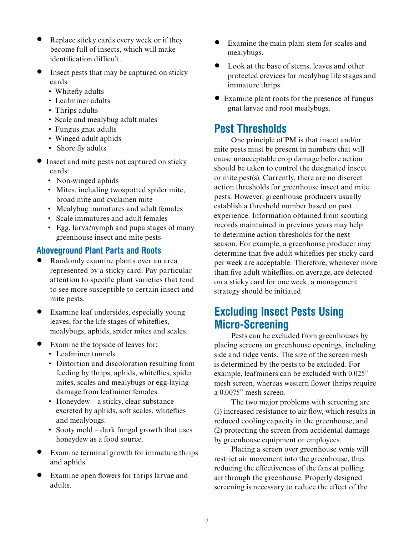- Replace sticky cards every week or if they become full of insects, which will make identification difficult.
- Insect pests that may be captured on sticky cards:
	- Whitefly adults
	- Leafminer adults
	- Thrips adults
	- Scale and mealybug adult males
	- Fungus gnat adults
	- Winged adult aphids
	- Shore fly adults
- Insect and mite pests not captured on sticky cards:
	- Non-winged aphids
	- Mites, including twospotted spider mite, broad mite and cyclamen mite
	- Mealybug immatures and adult females
	- Scale immatures and adult females
	- Egg, larva/nymph and pupa stages of many greenhouse insect and mite pests

#### Aboveground Plant Parts and Roots

- Randomly examine plants over an area represented by a sticky card. Pay particular attention to specific plant varieties that tend to see more susceptible to certain insect and mite pests.
- Examine leaf undersides, especially young leaves, for the life stages of whiteflies, mealybugs, aphids, spider mites and scales.
- Examine the topside of leaves for:
	- Leafminer tunnels
	- Distortion and discoloration resulting from feeding by thrips, aphids, whiteflies, spider mites, scales and mealybugs or egg-laying damage from leafminer females.
	- Honeydew a sticky, clear substance excreted by aphids, soft scales, whiteflies and mealybugs.
	- Sooty mold dark fungal growth that uses honeydew as a food source.
- Examine terminal growth for immature thrips and aphids.
- Examine open flowers for thrips larvae and adults.
- Examine the main plant stem for scales and mealybugs.
- Look at the base of stems, leaves and other protected crevices for mealybug life stages and immature thrips.
- Examine plant roots for the presence of fungus gnat larvae and root mealybugs.

# Pest Thresholds

One principle of PM is that insect and/or mite pests must be present in numbers that will cause unacceptable crop damage before action should be taken to control the designated insect or mite pest(s). Currently, there are no discreet action thresholds for greenhouse insect and mite pests. However, greenhouse producers usually establish a threshold number based on past experience. Information obtained from scouting records maintained in previous years may help to determine action thresholds for the next season. For example, a greenhouse producer may determine that five adult whiteflies per sticky card per week are acceptable. Therefore, whenever more than five adult whiteflies, on average, are detected on a sticky card for one week, a management strategy should be initiated.

# Excluding Insect Pests Using Micro-Screening

Pests can be excluded from greenhouses by placing screens on greenhouse openings, including side and ridge vents. The size of the screen mesh is determined by the pests to be excluded. For example, leafminers can be excluded with 0.025" mesh screen, whereas western flower thrips require a 0.0075" mesh screen.

The two major problems with screening are (1) increased resistance to air flow, which results in reduced cooling capacity in the greenhouse, and (2) protecting the screen from accidental damage by greenhouse equipment or employees.

Placing a screen over greenhouse vents will restrict air movement into the greenhouse, thus reducing the effectiveness of the fans at pulling air through the greenhouse. Properly designed screening is necessary to reduce the effect of the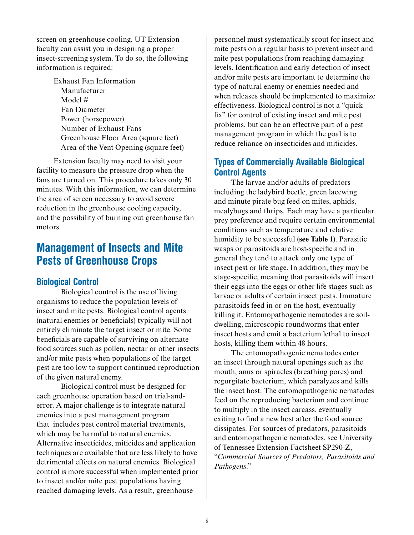screen on greenhouse cooling. UT Extension faculty can assist you in designing a proper insect-screening system. To do so, the following information is required:

> Exhaust Fan Information Manufacturer Model # Fan Diameter Power (horsepower) Number of Exhaust Fans Greenhouse Floor Area (square feet) Area of the Vent Opening (square feet)

Extension faculty may need to visit your facility to measure the pressure drop when the fans are turned on. This procedure takes only 30 minutes. With this information, we can determine the area of screen necessary to avoid severe reduction in the greenhouse cooling capacity, and the possibility of burning out greenhouse fan motors.

# Management of Insects and Mite Pests of Greenhouse Crops

#### Biological Control

Biological control is the use of living organisms to reduce the population levels of insect and mite pests. Biological control agents (natural enemies or beneficials) typically will not entirely eliminate the target insect or mite. Some beneficials are capable of surviving on alternate food sources such as pollen, nectar or other insects and/or mite pests when populations of the target pest are too low to support continued reproduction of the given natural enemy.

Biological control must be designed for each greenhouse operation based on trial-anderror. A major challenge is to integrate natural enemies into a pest management program that includes pest control material treatments, which may be harmful to natural enemies. Alternative insecticides, miticides and application techniques are available that are less likely to have detrimental effects on natural enemies. Biological control is more successful when implemented prior to insect and/or mite pest populations having reached damaging levels. As a result, greenhouse

personnel must systematically scout for insect and mite pests on a regular basis to prevent insect and mite pest populations from reaching damaging levels. Identification and early detection of insect and/or mite pests are important to determine the type of natural enemy or enemies needed and when releases should be implemented to maximize effectiveness. Biological control is not a "quick fix" for control of existing insect and mite pest problems, but can be an effective part of a pest management program in which the goal is to reduce reliance on insecticides and miticides.

#### Types of Commercially Available Biological Control Agents

The larvae and/or adults of predators including the ladybird beetle, green lacewing and minute pirate bug feed on mites, aphids, mealybugs and thrips. Each may have a particular prey preference and require certain environmental conditions such as temperature and relative humidity to be successful (**see Table 1**). Parasitic wasps or parasitoids are host-specific and in general they tend to attack only one type of insect pest or life stage. In addition, they may be stage-specific, meaning that parasitoids will insert their eggs into the eggs or other life stages such as larvae or adults of certain insect pests. Immature parasitoids feed in or on the host, eventually killing it. Entomopathogenic nematodes are soildwelling, microscopic roundworms that enter insect hosts and emit a bacterium lethal to insect hosts, killing them within 48 hours.

The entomopathogenic nematodes enter an insect through natural openings such as the mouth, anus or spiracles (breathing pores) and regurgitate bacterium, which paralyzes and kills the insect host. The entomopathogenic nematodes feed on the reproducing bacterium and continue to multiply in the insect carcass, eventually exiting to find a new host after the food source dissipates. For sources of predators, parasitoids and entomopathogenic nematodes, see University of Tennessee Extension Factsheet SP290-Z, "*Commercial Sources of Predators, Parasitoids and Pathogens*."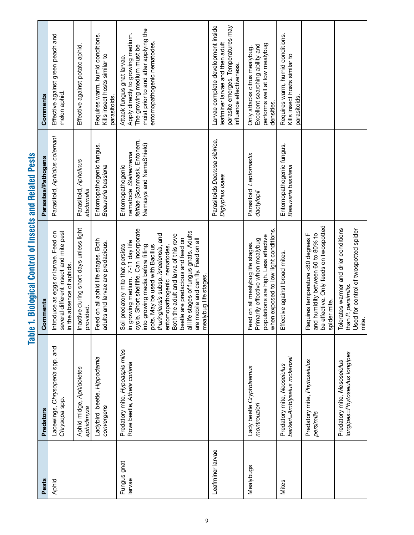| ļ<br>I               |
|----------------------|
|                      |
| <br> <br> <br>í<br>ĺ |
|                      |
| $\vdots$             |
| נ                    |
| ፧                    |
|                      |

| Pests                 | Predators                                                       | Comments                                                                                                                                                                                                                                                                                                                                                                                                                                                           | Parasites/Pathogens                                                                                | Comments                                                                                                                                                              |
|-----------------------|-----------------------------------------------------------------|--------------------------------------------------------------------------------------------------------------------------------------------------------------------------------------------------------------------------------------------------------------------------------------------------------------------------------------------------------------------------------------------------------------------------------------------------------------------|----------------------------------------------------------------------------------------------------|-----------------------------------------------------------------------------------------------------------------------------------------------------------------------|
| Aphid                 | Lacewings, Chrysoperla spp. and<br>Chrysopa spp.                | several different insect and mite pest<br>Introduce as eggs or larvae. Feed on<br>in the absence of aphids                                                                                                                                                                                                                                                                                                                                                         | Parasitoid, Aphidius colemani                                                                      | Effective against green peach and<br>melon aphid                                                                                                                      |
|                       | Aphid midge, Aphidoletes<br>aphidimyza                          | Inactive during short days unless light<br>provided                                                                                                                                                                                                                                                                                                                                                                                                                | Parasitoid, Aphelinus<br>abdomalis                                                                 | Effective against potato aphid                                                                                                                                        |
|                       | Ladybird beetle, Hippodamia<br>convergens                       | Feed on all aphid life stages. Both<br>adults and larvae are predacious.                                                                                                                                                                                                                                                                                                                                                                                           | Entomopathogenic fungus,<br>Beauvaria bassiana                                                     | Requires warm, humid conditions.<br>Kills insect hosts similar to<br>parasitoids.                                                                                     |
| Fungus gnat<br>larvae | Predatory mite, Hypoaspis miles<br>Rove beetle, Atheta coriaria | e. Short shelflife. Can incorporate<br>all life stages of fungus gnats. Adults<br>thuringiensis subsp. israelensis, and<br>Both the adult and larva of this rove<br>beetle are predacious and feed on<br>are mobile and can fly. Feed on all<br>in growing medium. 7-11 day life<br>predatory mite that persists<br>growing media before filling<br>pots. May be used with Bacillus<br>entomopathogenic nematodes.<br>mealybug life stages.<br>Soil<br>cycl<br>oto | feltiae (Scanmask, Entonem,<br>Nemasys and NemaShield)<br>nematode Steinernema<br>Entomopathogenic | moist prior to and after applying the<br>Apply directly to growing medium.<br>entomopathogenic nematodes.<br>The growing medium must be<br>Attack fungus gnat larvae. |
| Leafminer larvae      |                                                                 |                                                                                                                                                                                                                                                                                                                                                                                                                                                                    | Parasitoids Dacnusa sibirica,<br>Diglyphus isaea                                                   | Larvae complete development inside<br>parasite emerges. Temperatures may<br>leafminer larvae and then adult<br>influence effectiveness.                               |
| Mealybugs             | Lady beetle Cryptolaemus<br>montrouzieri                        | when exposed to low light conditions.<br>populations are high. Less effective<br>Primarily effective when mealybug<br>Feed on all mealybug life stages.                                                                                                                                                                                                                                                                                                            | Parasitoid Leptomastix<br>dactylopii                                                               | performs well at low mealybug<br>Excellent searching ability and<br>Only attacks citrus mealybug.<br>densities.                                                       |
| Mites                 | barkeri=Amblyseius mckenzei<br>Predatory mite, Neoseiulus       | Effective against broad mites                                                                                                                                                                                                                                                                                                                                                                                                                                      | Entomopathogenic fungus,<br><i>Beauvaria bassiana</i>                                              | Requires warm, humid conditions.<br>Kills insect hosts similar to<br>parasitoids.                                                                                     |
|                       | Predatory mite, Phytoseiulus<br>persimilis                      | be effective. Only feeds on twospotted<br>Requires temperature <80 degrees F<br>humidity between 60 to 80% to<br>spider mite.<br>and                                                                                                                                                                                                                                                                                                                               |                                                                                                    |                                                                                                                                                                       |
|                       | longipes=Phytoseiulus longipes<br>Predatory mite, Mesoseiulus   | Tolerates warmer and drier conditions<br>Used for control of twospotted spider<br>than P. persimilis<br>mite.                                                                                                                                                                                                                                                                                                                                                      |                                                                                                    |                                                                                                                                                                       |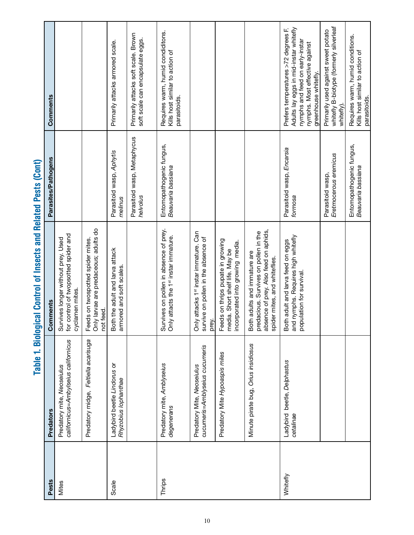| Pests    | Predators                                                          | Comments                                                                                                                                        | Parasites/Pathogens                            | Comments                                                                                                                                                                   |
|----------|--------------------------------------------------------------------|-------------------------------------------------------------------------------------------------------------------------------------------------|------------------------------------------------|----------------------------------------------------------------------------------------------------------------------------------------------------------------------------|
| Mites    | californicus=Ambylseius californicus<br>Predatory mite, Neoseiulus | Survives longer without prey. Used<br>for control of twopsotted spider and<br>cyclamen mites.                                                   |                                                |                                                                                                                                                                            |
|          | Predatory midge, Feltiella acarisuga                               | Feeds on twospotted spider mites.<br>Only larvae are predaceous; adults do<br>not feed.                                                         |                                                |                                                                                                                                                                            |
| Scale    | Ladybird beetle Lindorus or<br>Rhyzobius lophanthae                | Both the adult and larva attack<br>armored and soft scales.                                                                                     | Parasitoid wasp, Aphytis<br>melinus            | Primarily attacks armored scale.                                                                                                                                           |
|          |                                                                    |                                                                                                                                                 | Parasitoid wasp, Metaphycus<br>helvolus        | Brown<br>soft scale can encapsulate eggs.<br>Primarily attacks soft scale.                                                                                                 |
| Thrips   | Predatory mite, Amblyseius<br>degenerans                           | Survives on pollen in absence of prey.<br>Only attacts the 1 <sup>st</sup> instar immature.                                                     | Entomopathogenic fungus,<br>Beauvaria bassiana | Requires warm, humid condiditons.<br>Kills host similar to action of<br>parasitoids.                                                                                       |
|          | cucumeris=Amblyseius cucumeris<br>Predatory Mite, Neoseiulus       | Only attacks 1 <sup>st</sup> instar immature. Can<br>survive on pollen in the absence of<br>prey.                                               |                                                |                                                                                                                                                                            |
|          | Predatory Mite Hypoaspis miles                                     | Feeds on thrips pupate in growing<br>incorporated into growing media.<br>media. Short shelf life. May be                                        |                                                |                                                                                                                                                                            |
|          | Minute pirate bug, Orius insidiosus                                | absence of prey. Also feed on aphids,<br>predacious. Survives on pollen in the<br>Both adults and immature are<br>spider mites, and whiteflies. |                                                |                                                                                                                                                                            |
| Whitefly | Ladybird beetle, Delphastus<br>cetalinae                           | and nymphs. Requires high whitefly<br>Both adult and larva feed on eggs<br>population for survival.                                             | Parasitoid wasp, Encarsia<br>formosa           | Adults lay eggs in mid-instar whitefly<br>Prefers temperatures >72 degrees F.<br>nymphs and feed on early-instar<br>nymphs. Most effective against<br>greenhouse whitefly. |
|          |                                                                    |                                                                                                                                                 | Eretmocerous eremicus<br>Parasitoid wasp,      | whitefly B-biotype (formerly silverleaf<br>Primarily used against sweet potato<br>whitefly).                                                                               |
|          |                                                                    |                                                                                                                                                 | Entomopathogenic fungus,<br>Beauvaria bassiana | Requires warm, humid conditions.<br>Kills host similar to action of<br>parasitoids.                                                                                        |

# Table 1. Biological Control of Insects and Related Pests (Cont) Table 1. Biological Control of Insects and Related Pests (Cont)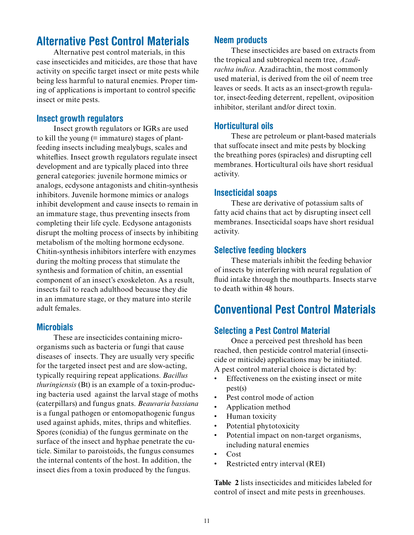# Alternative Pest Control Materials

Alternative pest control materials, in this case insecticides and miticides, are those that have activity on specific target insect or mite pests while being less harmful to natural enemies. Proper timing of applications is important to control specific insect or mite pests.

#### Insect growth regulators

Insect growth regulators or IGRs are used to kill the young (= immature) stages of plantfeeding insects including mealybugs, scales and whiteflies. Insect growth regulators regulate insect development and are typically placed into three general categories: juvenile hormone mimics or analogs, ecdysone antagonists and chitin-synthesis inhibitors. Juvenile hormone mimics or analogs inhibit development and cause insects to remain in an immature stage, thus preventing insects from completing their life cycle. Ecdysone antagonists disrupt the molting process of insects by inhibiting metabolism of the molting hormone ecdysone. Chitin-synthesis inhibitors interfere with enzymes during the molting process that stimulate the synthesis and formation of chitin, an essential component of an insect's exoskeleton. As a result, insects fail to reach adulthood because they die in an immature stage, or they mature into sterile adult females.

#### **Microbials**

These are insecticides containing microorganisms such as bacteria or fungi that cause diseases of insects. They are usually very specific for the targeted insect pest and are slow-acting, typically requiring repeat applications. *Bacillus thuringiensis* (Bt) is an example of a toxin-producing bacteria used against the larval stage of moths (caterpillars) and fungus gnats. *Beauvaria bassiana*  is a fungal pathogen or entomopathogenic fungus used against aphids, mites, thrips and whiteflies. Spores (conidia) of the fungus germinate on the surface of the insect and hyphae penetrate the cuticle. Similar to paroistoids, the fungus consumes the internal contents of the host. In addition, the insect dies from a toxin produced by the fungus.

#### Neem products

These insecticides are based on extracts from the tropical and subtropical neem tree, *Azadirachta indica*. Azadirachtin, the most commonly used material, is derived from the oil of neem tree leaves or seeds. It acts as an insect-growth regulator, insect-feeding deterrent, repellent, oviposition inhibitor, sterilant and/or direct toxin.

#### Horticultural oils

These are petroleum or plant-based materials that suffocate insect and mite pests by blocking the breathing pores (spiracles) and disrupting cell membranes. Horticultural oils have short residual activity.

#### Insecticidal soaps

These are derivative of potassium salts of fatty acid chains that act by disrupting insect cell membranes. Insecticidal soaps have short residual activity.

#### Selective feeding blockers

These materials inhibit the feeding behavior of insects by interfering with neural regulation of fluid intake through the mouthparts. Insects starve to death within 48 hours.

# Conventional Pest Control Materials

#### Selecting a Pest Control Material

Once a perceived pest threshold has been reached, then pesticide control material (insecticide or miticide) applications may be initiated. A pest control material choice is dictated by:

- Effectiveness on the existing insect or mite pest(s) •
- Pest control mode of action •
- Application method •
- Human toxicity •
- Potential phytotoxicity •
- Potential impact on non-target organisms, including natural enemies •
- Cost •
- Restricted entry interval (REI) •

**Table 2** lists insecticides and miticides labeled for control of insect and mite pests in greenhouses.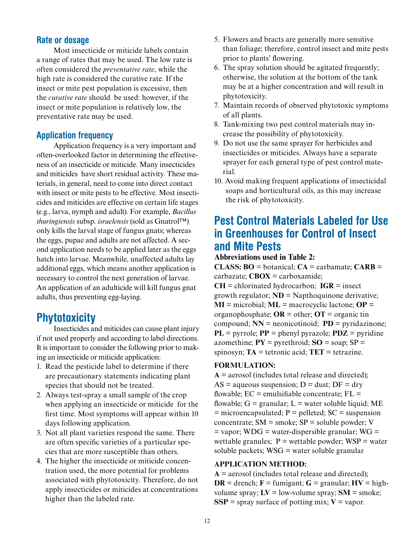#### Rate or dosage

Most insecticide or miticide labels contain a range of rates that may be used. The low rate is often considered the *preventative rate*, while the high rate is considered the curative rate. If the insect or mite pest population is excessive, then the *curative rate* should be used: however, if the insect or mite population is relatively low, the preventative rate may be used.

#### Application frequency

Application frequency is a very important and often-overlooked factor in determining the effectiveness of an insecticide or miticide. Many insecticides and miticides have short residual activity. These materials, in general, need to come into direct contact with insect or mite pests to be effective. Most insecticides and miticides are effective on certain life stages (e.g., larva, nymph and adult). For example, *Bacillus thuringiensis* subsp. *israelensis* (sold as Gnatrol™) only kills the larval stage of fungus gnats; whereas the eggs, pupae and adults are not affected. A second application needs to be applied later as the eggs hatch into larvae. Meanwhile, unaffected adults lay additional eggs, which means another application is necessary to control the next generation of larvae. An application of an adulticide will kill fungus gnat adults, thus preventing egg-laying.

# **Phytotoxicity**

Insecticides and miticides can cause plant injury if not used properly and according to label directions. It is important to consider the following prior to making an insecticide or miticide application:

- 1. Read the pesticide label to determine if there are precautionary statements indicating plant species that should not be treated.
- 2. Always test-spray a small sample of the crop when applying an insecticide or miticide for the first time. Most symptoms will appear within 10 days following application.
- 3. Not all plant varieties respond the same. There are often specific varieties of a particular species that are more susceptible than others.
- 4. The higher the insecticide or miticide concentration used, the more potential for problems associated with phytotoxicity. Therefore, do not apply insecticides or miticides at concentrations higher than the labeled rate.
- 5. Flowers and bracts are generally more sensitive than foliage; therefore, control insect and mite pests prior to plants' flowering.
- 6. The spray solution should be agitated frequently; otherwise, the solution at the bottom of the tank may be at a higher concentration and will result in phytotoxicity.
- 7. Maintain records of observed phytotoxic symptoms of all plants.
- 8. Tank-mixing two pest control materials may increase the possibility of phytotoxicity.
- 9. Do not use the same sprayer for herbicides and insecticides or miticides. Always have a separate sprayer for each general type of pest control material.
- 10. Avoid making frequent applications of insecticidal soaps and horticultural oils, as this may increase the risk of phytotoxicity.

# Pest Control Materials Labeled for Use in Greenhouses for Control of Insect and Mite Pests

#### **Abbreviations used in Table 2:**

**CLASS: BO** = botanical;  $CA =$  carbamate;  $CARB =$ carbazate; **CBOX** = carboxamide; **CH** = chlorinated hydrocarbon; **IGR** = insect growth regulator; **ND** = Napthoquinone derivative; **MI** = microbial; **ML** = macrocyclic lactone; **OP** = organophosphate; **OR** = other; **OT** = organic tin compound;  $NN =$  neonicotinoid;  $PD =$  pyridazinone; **PL** = pyrrole; **PP** = phenyl pyrazole; **PDZ** = pyridine azomethine;  $PY = pyrethroid$ ;  $SO = soap$ ;  $SP =$ spinosyn; **TA** = tetronic acid; **TET** = tetrazine.

#### **FORMULATION:**

 $A =$  aerosol (includes total release and directed);  $AS = aqueous suspension; D = dust; DF = dry$ flowable;  $EC =$  emulsifiable concentrate;  $FL =$ flowable;  $G = \text{granular}$ ;  $L = \text{water soluble liquid}$ ; ME  $=$  microencapsulated;  $P =$  pelleted;  $SC =$  suspension concentrate;  $SM =$ smoke;  $SP =$ soluble powder; V  $=$  vapor; WDG  $=$  water-dispersible granular; WG  $=$ wettable granules;  $P =$  wettable powder;  $WSP =$  water soluble packets; WSG = water soluble granular

#### **APPLICATION METHOD:**

 $A =$  aerosol (includes total release and directed); **DR** = drench;  $F =$  fumigant;  $G =$  granular;  $HV =$  highvolume spray;  $LV = low$ -volume spray;  $SM =$  smoke; **SSP** = spray surface of potting mix;  $V =$  vapor.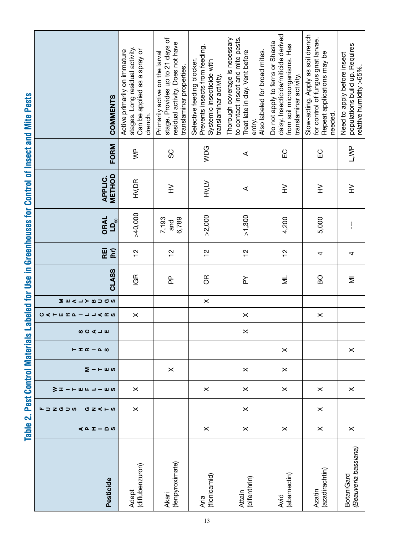| Pesticide                                 | 40I<br>$ \Omega$ $\omega$ | エコZグコの<br><b>○ Z &lt; ⊢ ω</b> | ミェー<br>шш<br>— ய<br>ᆜ | Σ−⊢шω    |          | ⋖⊣⋓ | <b>CATER B- JJARS</b> | <b>MOCOALMA</b> | <b>CLASS</b> | REI<br>(hr)   | <b>ORAL</b><br>$D_{50}$ | METHOD<br><b>APPLIC.</b> | FORM                    | <b>COMMENTS</b>                                                                                                                                  |  |
|-------------------------------------------|---------------------------|-------------------------------|-----------------------|----------|----------|-----|-----------------------|-----------------|--------------|---------------|-------------------------|--------------------------|-------------------------|--------------------------------------------------------------------------------------------------------------------------------------------------|--|
| (diflubenzuron)<br><b>Adept</b>           |                           | $\pmb{\times}$                | $\times$              |          |          |     | $\times$              |                 | <b>IGR</b>   | $\frac{1}{2}$ | >40,000                 | HV,DR                    | $\overline{\mathsf{S}}$ | stages. Long residual activity.<br>Can be applied as a spray or<br>Active primarily on immature<br>drench.                                       |  |
| (fenpyroximate)<br>Akari                  |                           |                               |                       | $\times$ |          |     |                       |                 | 운            | $\frac{2}{1}$ | 7,193<br>6,789<br>and   | $\geq$                   | SC                      | stage. Provides up to 21 days of<br>residual activity. Does not have<br>Primarily active on the larval<br>translaminar properties.               |  |
| (flonicamid)<br>Aria                      | $\times$                  |                               | $\times$              |          |          |     |                       | $\times$        | ЭŘ           | $\frac{1}{2}$ | >2,000                  | HV,LV                    | WDG                     | Prevents insects from feeding.<br>Selective feeding blocker.<br>Systemic insecticide with<br>translaminar activity.                              |  |
| (bifenthrin)<br><b>Attain</b>             | $\pmb{\times}$            | $\pmb{\times}$                | $\pmb{\times}$        | $\times$ |          | ×   | $\times$              |                 | ≿            | $\frac{1}{2}$ | >1,300                  | ⋖                        | ⋖                       | Thorough coverage is necessary<br>to contact insect and mite pests.<br>Treat late in day. Vent before<br>Also labeled for broad mites.<br>entry. |  |
| (abamectin)<br>Avid                       | $\times$                  |                               | $\times$              | $\times$ | $\times$ |     |                       |                 | ξ            | $\frac{1}{2}$ | 4,200                   | $\geqq$                  | EC                      | daisy. Insecticide/miticide derived<br>Do not apply to ferns or Shasta<br>from soil microorganisms. Has<br>translaminar activity.                |  |
| (azadirachtin)<br>Azatin                  | $\times$                  | $\times$                      | $\times$              |          |          |     | $\times$              |                 | <b>DB</b>    | 4             | 5,000                   | $\geq$                   | EC                      | Slow-acting. Apply as soil drench<br>for control of fungus gnat larvae.<br>Repeat applications may be<br>needed.                                 |  |
| (Beauveria bassiana)<br><b>BotaniGard</b> | $\pmb{\times}$            |                               | $\times$              |          | $\times$ |     |                       |                 | Ξ            | 4             | $\mathbf{I}$            | $\geq$                   | L, WP                   | populations build up. Requires<br>Need to apply before insect<br>relative humidity >65%.                                                         |  |

Table 2. Pest Control Materials Labeled for Use in Greenhouses for Control of Insect and Mite Pests Table 2. Pest Control Materials Labeled for Use in Greenhouses for Control of Insect and Mite Pests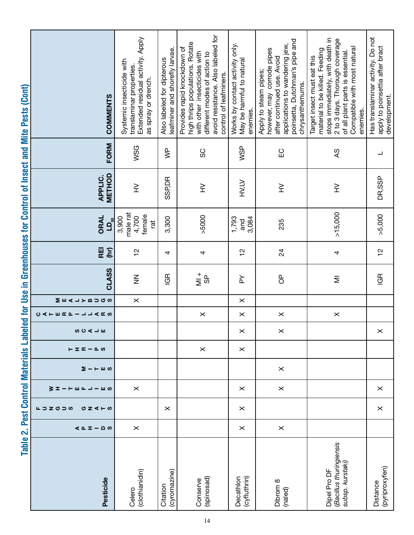| COMMENTS                                                                             | Extended residual activity. Apply<br>Systemic insecticide with<br>translaminar properties.<br>as spray or drench. | leafminer and shorefly larvae.<br>Also labeled for dipterous | avoid resistance. Also labeled for<br>high thrips populations. Rotate<br>Provides rapid knockdown of<br>with other insecticides with<br>different modes of action to<br>control of leafminers. | Works by contact activity only.<br>May be harmful to natural<br>enemies. | poinsetta, Dutchman's pipe and<br>applications to wandering jew,<br>however, may corrode pipes<br>after continued use. Avoid<br>Apply to steam pipes;<br>chrysanthemums. | stops immediately, with death in<br>2 to 3 days. Thorough coverage<br>Compatible with most natural<br>material to be killed. Feeding<br>of all plant parts is essential.<br>Target insect must eat this<br>enemies. | Has translaminar activity. Do not<br>apply to poinsettia after bract<br>development. |
|--------------------------------------------------------------------------------------|-------------------------------------------------------------------------------------------------------------------|--------------------------------------------------------------|------------------------------------------------------------------------------------------------------------------------------------------------------------------------------------------------|--------------------------------------------------------------------------|--------------------------------------------------------------------------------------------------------------------------------------------------------------------------|---------------------------------------------------------------------------------------------------------------------------------------------------------------------------------------------------------------------|--------------------------------------------------------------------------------------|
| FORM                                                                                 | WSG                                                                                                               | $\stackrel{\text{p}}{\geq}$                                  | SC                                                                                                                                                                                             | WSP                                                                      | $\Xi$                                                                                                                                                                    | Sy                                                                                                                                                                                                                  | ┙                                                                                    |
| METHOD<br><b>APPLIC.</b>                                                             | $\geq$                                                                                                            | <b>SSP,DR</b>                                                | $\geq$                                                                                                                                                                                         | HV,LV                                                                    | $\geq$                                                                                                                                                                   | ≩                                                                                                                                                                                                                   | DR, SSP                                                                              |
| <b>ORAL</b><br>$LD_{50}$                                                             | male rat<br>female<br>4,700<br>3,900<br>tā                                                                        | 3,300                                                        | >5000                                                                                                                                                                                          | 1,793<br>3,084<br>and                                                    | 235                                                                                                                                                                      | >15,000                                                                                                                                                                                                             | >5,000                                                                               |
| (hr)<br>REI                                                                          | $\frac{1}{2}$                                                                                                     | 4                                                            | 4                                                                                                                                                                                              | $\frac{1}{2}$                                                            | $\overline{24}$                                                                                                                                                          | 4                                                                                                                                                                                                                   | $\frac{1}{2}$                                                                        |
| CLASS                                                                                | $\sum_{i=1}^{n}$                                                                                                  | GR                                                           | $\frac{1}{2}$<br><u>မှ</u>                                                                                                                                                                     | ≿                                                                        | $\sigma$                                                                                                                                                                 | Ξ                                                                                                                                                                                                                   | <b>IGR</b>                                                                           |
| <b>△→&gt;BDGS</b><br>∑ ш                                                             | $\pmb{\times}$<br><b>SO V → W</b><br>⊢I∝−Pw                                                                       |                                                              |                                                                                                                                                                                                | $\pmb{\times}$                                                           |                                                                                                                                                                          |                                                                                                                                                                                                                     |                                                                                      |
| <b>CALERA-JJARS</b>                                                                  |                                                                                                                   |                                                              | $\pmb{\times}$                                                                                                                                                                                 | $\times$                                                                 | $\pmb{\times}$                                                                                                                                                           | $\times$                                                                                                                                                                                                            |                                                                                      |
|                                                                                      |                                                                                                                   |                                                              |                                                                                                                                                                                                | $\pmb{\times}$                                                           | $\pmb{\times}$                                                                                                                                                           |                                                                                                                                                                                                                     | $\pmb{\times}$                                                                       |
|                                                                                      |                                                                                                                   |                                                              | $\times$                                                                                                                                                                                       | $\times$                                                                 |                                                                                                                                                                          |                                                                                                                                                                                                                     |                                                                                      |
| $\Sigma$ –<br>$  -$                                                                  |                                                                                                                   |                                                              |                                                                                                                                                                                                |                                                                          | $\times$                                                                                                                                                                 |                                                                                                                                                                                                                     |                                                                                      |
| <b>S エートミド コーミッ</b>                                                                  | $\times$                                                                                                          |                                                              |                                                                                                                                                                                                | $\times$                                                                 | $\times$                                                                                                                                                                 |                                                                                                                                                                                                                     | $\times$                                                                             |
| $\mathsf{L} \supset \mathsf{Z} \circ \mathsf{I} \circ \mathsf{A}$<br><b>○ Z く⊢ の</b> |                                                                                                                   | $\times$                                                     |                                                                                                                                                                                                | $\times$                                                                 |                                                                                                                                                                          |                                                                                                                                                                                                                     | $\pmb{\times}$                                                                       |
| $40I - 00$                                                                           | $\times$                                                                                                          |                                                              |                                                                                                                                                                                                | $\times$                                                                 | $\pmb{\times}$                                                                                                                                                           |                                                                                                                                                                                                                     |                                                                                      |
| Pesticide                                                                            | (clothianidin)<br>Celero                                                                                          | (cyromazine)<br>Citation                                     | (spinosad)<br>Conserve                                                                                                                                                                         | Decathlon<br>(cyfluthrin)                                                | Dibrom 8<br>(naled)                                                                                                                                                      | (Bacillus thuringiensis<br>subsp. kurstaki)<br>Dipel Pro DF                                                                                                                                                         | (pyriproxyfen)<br>Distance                                                           |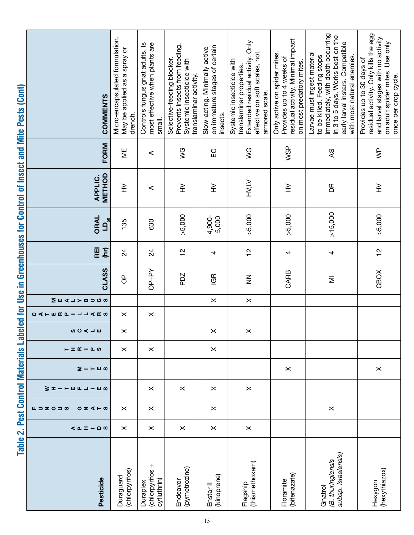| Table 2.                                            |                        |                                                                                          |                       |                     |             |                |                     |                  |               |               |                                     |                          |                             | Pest Control Materials Labeled for Use in Greenhouses for Control of Insect and Mite Pests (Cont)                                                                                                      |
|-----------------------------------------------------|------------------------|------------------------------------------------------------------------------------------|-----------------------|---------------------|-------------|----------------|---------------------|------------------|---------------|---------------|-------------------------------------|--------------------------|-----------------------------|--------------------------------------------------------------------------------------------------------------------------------------------------------------------------------------------------------|
| Pesticide                                           | <b>∢ Δ Ι</b><br>$-0.0$ | $\mathsf{L} \supset \mathsf{Z} \circ \mathsf{I} \circ \mathsf{A}$<br><b>○ Z &lt; ⊢ ω</b> | 3 ≖<br>← Ⅲ Щ<br>– ய ഗ | $\Sigma$ –<br>$  -$ | $E E E - E$ | SCALⅢ          | <b>CALERT-JJARS</b> | <b>MOCBATYBD</b> | CLASS         | REI<br>(hr)   | ORAL<br>$\mathbf{D}_{\mathbf{S}^0}$ | METHOD<br><b>APPLIC.</b> | FORM                        | <b>COMMENTS</b>                                                                                                                                                                                        |
| (chlorpyrifos)<br>Duraguard                         | $\times$               | $\times$                                                                                 |                       |                     | $\times$    | $\times$       | $\times$            |                  | $\sigma$      | 24            | 135                                 | $\geqq$                  | ΨË                          | Micro-encapsulated formulation.<br>May be applied as a spray or<br>drench.                                                                                                                             |
| (chlorpyrifos +<br>cyfluthrin)<br>Duraplex          | $\times$               | $\times$                                                                                 | $\times$              |                     | $\times$    |                | $\times$            |                  | OP+PY         | 24            | 630                                 | ⋖                        | ⋖                           | Controls fungus gnat adults. Is<br>most effective when plants are<br>small.                                                                                                                            |
| (pymetrozine)<br>Endeavor                           | $\times$               |                                                                                          | $\times$              |                     |             |                |                     |                  | PDZ           | 으             | >5,000                              | $\geqq$                  | $\frac{6}{5}$               | Prevents insects from feeding.<br>Selective-feeding blocker.<br>Systemic insecticide with<br>translaminar activity.                                                                                    |
| (kinoprene)<br>Enstar <sup>II</sup>                 | $\times$               | $\times$                                                                                 | $\times$              |                     | $\times$    | $\times$       |                     | $\times$         | <b>GR</b>     | 4             | 4,900-<br>5,000                     | ≩                        | $\Xi$                       | on immature stages of certain<br>Slow-acting. Minimally active<br>insects.                                                                                                                             |
| (thiamethoxam)<br>Flagship                          | $\times$               |                                                                                          | $\times$              |                     |             | $\pmb{\times}$ |                     | $\times$         | $\frac{z}{z}$ | $\frac{1}{2}$ | >5,000                              | <b>HVILV</b>             | $\frac{6}{5}$               | Extended residual activity. Only<br>effective on soft scales, not<br>Systemic insecticide with<br>translaminar properties.<br>armored scale.                                                           |
| (bifenazate)<br>Floramite                           |                        |                                                                                          |                       | $\times$            |             |                |                     |                  | CARB          | 4             | >5,000                              | $\geq$                   | WSP                         | residual activity. Minimal impact<br>Only active on spider mites.<br>Provides up to 4 weeks of<br>on most predatory mites.                                                                             |
| subsp. israelensis)<br>(B. thuringiensis<br>Gnatrol |                        | $\times$                                                                                 |                       |                     |             |                |                     |                  | Ξ             | 4             | >15,000                             | БŘ                       | $\infty$                    | immediately, with death occurring<br>in 3 to 5 days. Works best on the<br>early larval instars. Compatible<br>Larvae must ingest material<br>with most natural enemies.<br>to be killed. Feeding stops |
| (hexythiazox)<br>Hexygon                            |                        |                                                                                          |                       | $\times$            |             |                |                     |                  | CBOX          | $\frac{1}{2}$ | >5,000                              | $\geqq$                  | $\stackrel{\text{p}}{\geq}$ | residual activity. Only kills the egg<br>and larval stages with no activity<br>on adult spider mites. Use only<br>Provides up to 30 days of<br>once per crop cycle.                                    |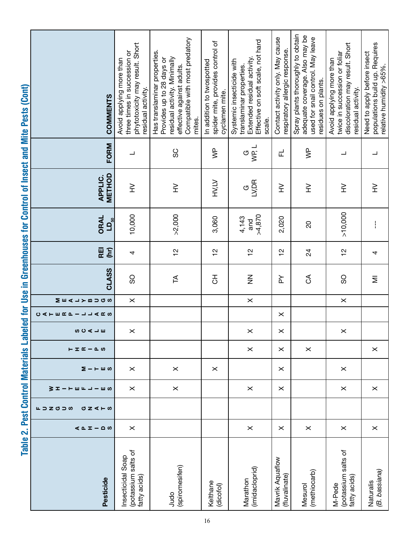| <br> -<br> <br>  |
|------------------|
|                  |
|                  |
|                  |
|                  |
|                  |
|                  |
|                  |
|                  |
|                  |
|                  |
|                  |
|                  |
|                  |
|                  |
|                  |
|                  |
|                  |
|                  |
|                  |
|                  |
| ŗ                |
|                  |
|                  |
|                  |
|                  |
|                  |
|                  |
|                  |
|                  |
|                  |
|                  |
| ِے dir Use In Gi |
|                  |
|                  |
|                  |
|                  |
|                  |
|                  |
|                  |
|                  |
|                  |
|                  |
|                  |
|                  |
|                  |
|                  |
|                  |
| i,               |
| È                |
|                  |
|                  |
|                  |
|                  |
|                  |
|                  |
|                  |
|                  |
|                  |
|                  |
|                  |
|                  |
|                  |
|                  |
|                  |

|                                                         | phytotoxicity may result. Short                          | Compatible with most predatory                                                                                         | spider mite, provides control of | Effective on soft scale, not hard                                                    | Contact activity only. May cause | Spray plants thoroughly to obtain<br>adequate coverage. Also may be<br>used for snail control. May leave | discoloration may result. Short                           | populations build up. Requires                         |
|---------------------------------------------------------|----------------------------------------------------------|------------------------------------------------------------------------------------------------------------------------|----------------------------------|--------------------------------------------------------------------------------------|----------------------------------|----------------------------------------------------------------------------------------------------------|-----------------------------------------------------------|--------------------------------------------------------|
|                                                         | three times in succession or<br>Avoid applying more than | Has translaminar properties.<br>residual activity. Minimally<br>Provides up to 28 days or<br>effective against adults. | In addition to twospotted        | Extended residual activity.<br>Systemic insecticide with<br>translaminar properties. | respiratory allergic response.   |                                                                                                          | twice in succession or foliar<br>Avoid applying more than | Need to apply before insect<br>relative humidity >65%. |
|                                                         |                                                          |                                                                                                                        |                                  |                                                                                      |                                  | residues on plants.                                                                                      |                                                           |                                                        |
| <b>COMMENTS</b>                                         | residual activity.                                       |                                                                                                                        | cyclamen mite.                   |                                                                                      |                                  |                                                                                                          | residual activity.                                        |                                                        |
|                                                         |                                                          | mites.                                                                                                                 |                                  | scale.                                                                               |                                  |                                                                                                          |                                                           |                                                        |
| <b>FORM</b>                                             | ᆜ                                                        | SC                                                                                                                     | $\overline{\mathsf{S}}$          | WP, L<br>$\circ$                                                                     | 군                                | $\overline{\mathsf{S}}$                                                                                  | ┙                                                         |                                                        |
|                                                         |                                                          |                                                                                                                        |                                  |                                                                                      |                                  |                                                                                                          |                                                           |                                                        |
| METHOD<br><b>APPLIC.</b>                                | $\geq$                                                   | $\geq$                                                                                                                 | <b>HV,LV</b>                     | a<br>Si<br>Si                                                                        | ≧                                | $\geq$                                                                                                   | $\geq$                                                    | $\geq$                                                 |
| <b>ORAL</b><br>$\mathsf{L}\mathsf{D}_\mathsf{50}$       | 10,000                                                   | >2,000                                                                                                                 | 3,060                            | >4,870<br>4,143<br>and                                                               | 2,020                            | $\overline{c}$                                                                                           | >10,000                                                   | $\mathbf{I}$                                           |
|                                                         |                                                          |                                                                                                                        |                                  |                                                                                      |                                  |                                                                                                          |                                                           |                                                        |
| REI<br>(hr)                                             | 4                                                        | $\frac{2}{1}$                                                                                                          | $\frac{1}{2}$                    | يم<br>ح                                                                              | $\frac{1}{2}$                    | $\overline{2}$                                                                                           | $\frac{1}{2}$                                             | 4                                                      |
| CLASS                                                   | SO                                                       | Æ                                                                                                                      | 공                                | $\mathbf{z}$                                                                         | ≿                                | $\delta$                                                                                                 | SO                                                        | Ξ                                                      |
| MEALYBUGS                                               | $\times$                                                 |                                                                                                                        |                                  | $\pmb{\times}$                                                                       |                                  |                                                                                                          | $\times$                                                  |                                                        |
| <b>CATERF-JJARS</b>                                     |                                                          |                                                                                                                        |                                  |                                                                                      | $\times$                         |                                                                                                          |                                                           |                                                        |
| ⋖⊣⋓                                                     | $\times$                                                 |                                                                                                                        |                                  | $\times$                                                                             | $\times$                         |                                                                                                          | $\times$                                                  |                                                        |
| $\vdash$ I $\mathfrak{C}$ $ \mathfrak{L}$ $\varnothing$ |                                                          |                                                                                                                        |                                  | $\times$                                                                             | $\times$                         | $\times$                                                                                                 |                                                           | $\times$                                               |
| Σ−⊢шω                                                   | $\times$                                                 | $\times$                                                                                                               | $\times$                         |                                                                                      | $\times$                         |                                                                                                          | $\times$                                                  |                                                        |
| 3 I<br>$-u u$<br><b>コーロの</b>                            | $\times$                                                 | $\times$                                                                                                               |                                  | $\times$                                                                             | $\times$                         |                                                                                                          | $\times$                                                  | $\times$                                               |
| エコZグコの<br><b>○ Z &lt; ⊢ ω</b>                           |                                                          |                                                                                                                        |                                  |                                                                                      |                                  |                                                                                                          |                                                           |                                                        |
| $40I - 20$                                              | $\times$                                                 |                                                                                                                        |                                  | $\times$                                                                             | $\times$                         | $\times$                                                                                                 | $\times$                                                  | $\times$                                               |
|                                                         |                                                          |                                                                                                                        |                                  |                                                                                      |                                  |                                                                                                          |                                                           |                                                        |
|                                                         |                                                          |                                                                                                                        |                                  |                                                                                      |                                  |                                                                                                          |                                                           |                                                        |
| Pesticide                                               | (potassium salts of<br>Insecticidal Soap<br>fatty acids) | (spiromesifen)                                                                                                         |                                  | (imidacloprid)                                                                       | Mavrik Aquaflow<br>(fluvalinate) | (methiocarb)                                                                                             | (potassium salts of<br>fatty acids)                       | (B. bassiana)                                          |
|                                                         |                                                          | Judo                                                                                                                   | Kelthane<br>(dicofol)            | Marathon                                                                             |                                  | Mesurol                                                                                                  | M-Pede                                                    | Naturalis                                              |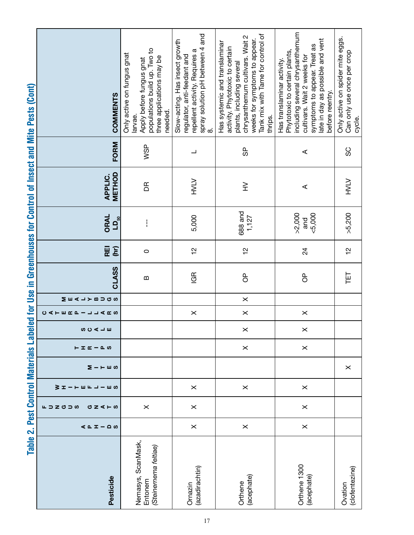| Pesticide                                              | $401 - 00$     | $\mathsf{L} \supset \mathsf{Z} \circ \mathsf{I} \circ \mathsf{A}$<br>σz<br>$4 - 8$ | 3 I<br>ш<br>$\mathbf{L}$<br>ய ம | Σ.<br>$  -$ | $\vdash$ I $\mathfrak{C}$ $ \mathfrak{L}$ $\varnothing$ | <b>SOCIH</b> | <b>CATERD-JJARS</b> | MEALYBUGS | <b>CLASS</b> | REI<br>(hr)   | <b>ORAL</b><br>$\mathbf{D}_{\mathbf{50}}$ | METHOD<br><b>APPLIC.</b> | FORM                     | COMMENTS                                                                                                                                                                                                             |
|--------------------------------------------------------|----------------|------------------------------------------------------------------------------------|---------------------------------|-------------|---------------------------------------------------------|--------------|---------------------|-----------|--------------|---------------|-------------------------------------------|--------------------------|--------------------------|----------------------------------------------------------------------------------------------------------------------------------------------------------------------------------------------------------------------|
| Nemasys, ScanMask,<br>(Steinernema feltiae)<br>Entonem |                | $\pmb{\times}$                                                                     |                                 |             |                                                         |              |                     |           | $\bf{m}$     | $\circ$       | $\mathbf{I}$                              | Æ                        | WSP                      | populations build up. Two to<br>Only active on fungus gnat<br>three applications may be<br>Apply before fungus gnat<br>needed.<br>larvae.                                                                            |
| (azadirachtin)<br>Ornazin                              | $\times$       | $\pmb{\times}$                                                                     | $\times$                        |             |                                                         |              | $\times$            |           | <b>IGR</b>   | $\frac{1}{2}$ | 5,000                                     | <b>NTAH</b>              | $\overline{\phantom{0}}$ | spray solution pH between 4 and<br>Slow-acting. Has insect growth<br>repellent activity. Requires a<br>regulator, anti-feedant and<br>∞                                                                              |
| (acephate)<br>Orthene                                  | $\times$       |                                                                                    | $\times$                        |             | $\times$                                                | $\times$     | $\times$            | $\times$  | $\sigma$     | $\frac{1}{2}$ | 688 and<br>1,127                          | $\geq$                   | မ္ပ                      | Tank mix with Tame for control of<br>chrysanthemum cultivars. Wait 2<br>weeks for symptoms to appear.<br>Has systemic and translaminar<br>activity. Phytotoxic to certain<br>plants, including several<br>thrips.    |
| Orthene 1300<br>(acephate)                             | $\pmb{\times}$ | $\times$                                                                           | $\pmb{\times}$                  |             | $\pmb{\times}$                                          | $\times$     | $\times$            |           | $\sigma$     | $^{24}$       | >2,000<br>&5,000<br>and                   | ⋖                        | $\prec$                  | including several chrysanthemum<br>late in day as possible and vent<br>symptoms to appear. Treat as<br>Phytotoxic to certain plants,<br>cultivars. Wait 2 weeks for<br>Has translaminar activity.<br>before reentry. |
| (clofentezine)<br>Ovation                              |                |                                                                                    |                                 | $\times$    |                                                         |              |                     |           | 巨            | $\frac{1}{2}$ | >5,200                                    | <b>ATAH</b>              | SC                       | Only active on spider mite eggs.<br>Can only use once per crop<br>cycle.                                                                                                                                             |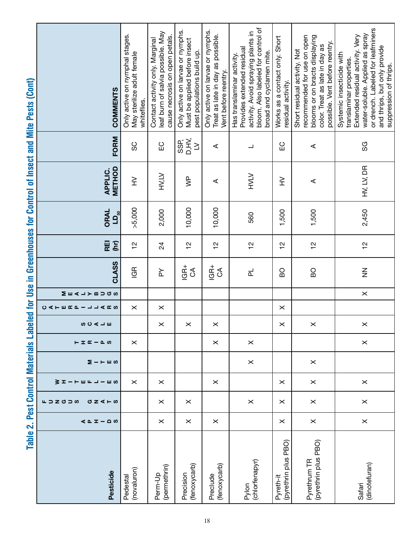|                           | <b>COMMENTS</b>                 | Only active on nymphal stages.<br>May sterilize adult female<br>whiteflies. | leaf burn of salvia possible. May<br>cause necrosis on open petals.<br>Contact activity only. Marginal | Only active on larvae or nymphs.<br>Must be applied before insect<br>pest populations build up. | Only active on larvae or nymphs.<br>Treat as late in day as possible.<br>Vent before reentry. | bloom. Also labeled for control of<br>activity. Avoid spraying plants in<br>Provides extended residual<br>broad and cyclamen mite.<br>Has translaminar activity. | Works as a contact only. Short<br>residual activity. | recommended for use on open<br>blooms or on bracts displaying<br>possible. Vent before reentry.<br>color. Treat as late in day as<br>Short residual activity. Not | or drench. Labeled for leafminers<br>water-soluble. Applied as spray<br>Extended residual activity. Very<br>and thrips, but only provide<br>Systemic insecticide with<br>translaminar properties.<br>suppression of thrips. |
|---------------------------|---------------------------------|-----------------------------------------------------------------------------|--------------------------------------------------------------------------------------------------------|-------------------------------------------------------------------------------------------------|-----------------------------------------------------------------------------------------------|------------------------------------------------------------------------------------------------------------------------------------------------------------------|------------------------------------------------------|-------------------------------------------------------------------------------------------------------------------------------------------------------------------|-----------------------------------------------------------------------------------------------------------------------------------------------------------------------------------------------------------------------------|
|                           | FORM                            | SC                                                                          | 55                                                                                                     | D, HV,<br>SSP,<br>$\geq$                                                                        | ⋖                                                                                             | ┙                                                                                                                                                                | ပ္မ                                                  | $\prec$                                                                                                                                                           | SG                                                                                                                                                                                                                          |
|                           | <b>METHOD</b><br><b>APPLIC.</b> | $\geq$                                                                      | <b>NYIN</b>                                                                                            | $\overline{\mathsf{S}}$                                                                         | ⋖                                                                                             | <b>ATAH</b>                                                                                                                                                      | ≩                                                    | $\prec$                                                                                                                                                           | HV, LV, DR                                                                                                                                                                                                                  |
|                           | ORAL<br>$D_{\rm so}$            | >5,000                                                                      | 2,000                                                                                                  | 10,000                                                                                          | 10,000                                                                                        | 560                                                                                                                                                              | 1,500                                                | 1,500                                                                                                                                                             | 2,450                                                                                                                                                                                                                       |
|                           | REI<br>(m)                      | $\frac{1}{2}$                                                               | 24                                                                                                     | $\frac{1}{2}$                                                                                   | $\frac{1}{2}$                                                                                 | $\frac{1}{2}$                                                                                                                                                    | $\frac{1}{2}$                                        | $\frac{2}{3}$                                                                                                                                                     | $\frac{1}{2}$                                                                                                                                                                                                               |
|                           | CLASS                           | <b>GR</b>                                                                   | $\succeq$                                                                                              | IGR+<br>$\mathcal{L}$                                                                           | <b>GR+</b><br>$\delta$                                                                        | 군                                                                                                                                                                | <b>BO</b>                                            | <b>DB</b>                                                                                                                                                         | $\frac{z}{z}$                                                                                                                                                                                                               |
|                           | MEALYBUGS                       |                                                                             |                                                                                                        |                                                                                                 |                                                                                               |                                                                                                                                                                  |                                                      |                                                                                                                                                                   | $\times$                                                                                                                                                                                                                    |
|                           | <b>CALERA - JJARS</b>           | $\times$                                                                    | $\times$                                                                                               |                                                                                                 |                                                                                               |                                                                                                                                                                  | $\times$                                             |                                                                                                                                                                   |                                                                                                                                                                                                                             |
| <br> <br> <br> <br>       | 9041日                           |                                                                             | $\times$                                                                                               | $\times$                                                                                        | $\times$                                                                                      |                                                                                                                                                                  | $\times$                                             | $\times$                                                                                                                                                          | $\times$                                                                                                                                                                                                                    |
|                           |                                 | $\times$                                                                    |                                                                                                        |                                                                                                 | $\times$                                                                                      | $\times$                                                                                                                                                         |                                                      |                                                                                                                                                                   | $\times$                                                                                                                                                                                                                    |
| <b>Donna Dinasana Pan</b> | Σ−⊢шω                           |                                                                             |                                                                                                        |                                                                                                 |                                                                                               | $\times$                                                                                                                                                         |                                                      | $\times$                                                                                                                                                          |                                                                                                                                                                                                                             |
|                           | <b>SH-HULJ-WO</b>               | $\times$                                                                    | ×                                                                                                      |                                                                                                 | $\times$                                                                                      |                                                                                                                                                                  | $\times$                                             | $\times$                                                                                                                                                          | $\times$                                                                                                                                                                                                                    |
|                           | エコZのつの<br><b>○ Z &lt; ⊢ の</b>   |                                                                             | $\times$                                                                                               | $\times$                                                                                        |                                                                                               | $\times$                                                                                                                                                         | $\times$                                             | $\times$                                                                                                                                                          | $\pmb{\times}$                                                                                                                                                                                                              |
|                           | ≪ Ω Ι − Ω ω                     |                                                                             | $\times$                                                                                               | $\times$                                                                                        | $\times$                                                                                      |                                                                                                                                                                  | $\times$                                             | $\times$                                                                                                                                                          | $\pmb{\times}$                                                                                                                                                                                                              |
| juwiu ji                  | Pesticide                       | (novaluron)<br>Pedestal                                                     | (permethrin)<br>Perm-Up                                                                                | (fenoxycarb)<br>Precision                                                                       | (fenoxycarb)<br>Preclude                                                                      | (chlorfenapyr)<br>Pylon                                                                                                                                          | (pyrethrin plus PBO)<br>Pyreth-it                    | (pyrethrin plus PBO)<br>Pyrethrum TR                                                                                                                              | (dinotefuran)<br>Safari                                                                                                                                                                                                     |

Table 2. Pest Control Materials Labeled for Use in Greenhouses for Control of Insect and Mite Pests (Cont) Table 2. Pest Control Materials Labeled for Use in Greenhouses for Control of Insect and Mite Pests (Cont)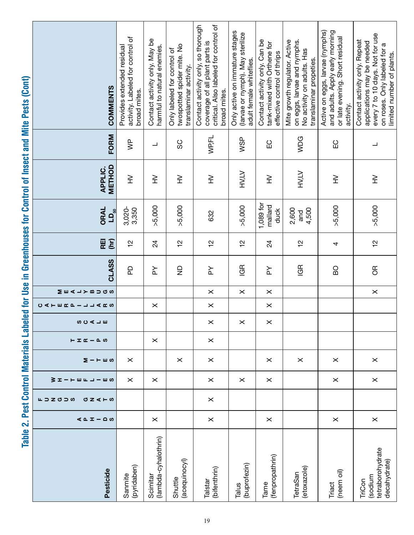| COMMENTS                                        | activity. Labeled for control of<br>Provides extended residual<br>broad mites. | Contact activity only. May be<br>harmful to natural enemies. | twospotted spider mite. No<br>Only labeled for control of<br>translaminar activity. | Contact activity only, so thorough<br>critical. Also labeled for control of<br>coverage of all plant parts is<br>broad mites. | Only active on immature stages<br>(larvae or nymph). May sterilize<br>adult female whiteflies. | Contact activity only. Can be<br>tank-mixed with Orthene for<br>effective control of thrips | Mite growth regulator. Active<br>on eggs, larvae and nymphs.<br>No activity on adults. Has<br>translaminar propeties. | Active on eggs, larvae (nymphs)<br>and adults. Apply early morning<br>or late evening. Short residual<br>activity. | every 7 to 10 days. Not for use<br>Contact activity only. Repeat<br>applications may be needed<br>on roses. Only labeled for a<br>limited number of plants. |
|-------------------------------------------------|--------------------------------------------------------------------------------|--------------------------------------------------------------|-------------------------------------------------------------------------------------|-------------------------------------------------------------------------------------------------------------------------------|------------------------------------------------------------------------------------------------|---------------------------------------------------------------------------------------------|-----------------------------------------------------------------------------------------------------------------------|--------------------------------------------------------------------------------------------------------------------|-------------------------------------------------------------------------------------------------------------------------------------------------------------|
| FORM                                            | $\overline{\mathsf{S}}$                                                        | $\overline{\phantom{a}}$                                     | SC                                                                                  | WP,FL                                                                                                                         | W <sub>SP</sub>                                                                                | ပ္မ                                                                                         | WDG                                                                                                                   | ပ္မ                                                                                                                | ┙                                                                                                                                                           |
| <b>METHOD</b><br><b>APPLIC.</b>                 | $\geqq$                                                                        | $\geq$                                                       | $\gtrsim$                                                                           | $\geq$                                                                                                                        | HV.LV                                                                                          | $\geq$                                                                                      | <b>HV,LV</b>                                                                                                          | $\geq$                                                                                                             | $\geq$                                                                                                                                                      |
| ORAL<br>$\mathsf{L}\mathsf{D}_{\underline{50}}$ | 3,020-<br>3,350                                                                | >5,000                                                       | >5,000                                                                              | 632                                                                                                                           | >5,000                                                                                         | $1,089$ for<br>mallard<br>duck                                                              | 2,600<br>4,500<br>and                                                                                                 | >5,000                                                                                                             | >5,000                                                                                                                                                      |
| (hr)<br>REI                                     | $\frac{1}{2}$                                                                  | 24                                                           | $\frac{1}{2}$                                                                       | $\frac{1}{2}$                                                                                                                 | $\frac{1}{2}$                                                                                  | 24                                                                                          | $\frac{1}{2}$                                                                                                         | 4                                                                                                                  | $\frac{1}{2}$                                                                                                                                               |
| <b>CLASS</b>                                    | <b>Q</b>                                                                       | ≿                                                            | $\frac{\Omega}{Z}$                                                                  | $\succeq$                                                                                                                     | GR                                                                                             | $\succeq$                                                                                   | GR                                                                                                                    | BO                                                                                                                 | $\overline{a}$                                                                                                                                              |
| MEALYBUGS                                       |                                                                                |                                                              |                                                                                     | $\pmb{\times}$                                                                                                                | $\times$                                                                                       | $\times$                                                                                    |                                                                                                                       |                                                                                                                    | $\pmb{\times}$                                                                                                                                              |
| <b>CATER - JJAKS</b>                            |                                                                                | $\times$                                                     |                                                                                     | $\pmb{\times}$                                                                                                                |                                                                                                | $\times$                                                                                    |                                                                                                                       |                                                                                                                    |                                                                                                                                                             |
| <b>SORUE</b>                                    |                                                                                |                                                              |                                                                                     | $\pmb{\times}$                                                                                                                | $\times$                                                                                       | $\pmb{\times}$                                                                              |                                                                                                                       |                                                                                                                    |                                                                                                                                                             |
| $E$ $\mathbf{I}$ $\alpha$ $ \alpha$ $\omega$    |                                                                                | $\times$                                                     |                                                                                     | $\times$                                                                                                                      |                                                                                                |                                                                                             |                                                                                                                       |                                                                                                                    |                                                                                                                                                             |
| Σ−⊢шω                                           | $\times$                                                                       |                                                              | $\times$                                                                            | $\times$                                                                                                                      |                                                                                                | $\times$                                                                                    | $\times$                                                                                                              | $\times$                                                                                                           | $\times$                                                                                                                                                    |
| <b>ろ エ ー ー m F コ ー m co</b>                     | $\times$                                                                       | $\times$                                                     |                                                                                     | $\boldsymbol{\times}$                                                                                                         | $\times$                                                                                       | $\times$                                                                                    |                                                                                                                       | $\times$                                                                                                           | $\times$                                                                                                                                                    |
| 山コZ切コの<br>0Z < H                                |                                                                                |                                                              |                                                                                     | $\times$                                                                                                                      |                                                                                                |                                                                                             |                                                                                                                       |                                                                                                                    |                                                                                                                                                             |
| $40I - 20$                                      |                                                                                | $\times$                                                     |                                                                                     | $\boldsymbol{\times}$                                                                                                         |                                                                                                | $\times$                                                                                    |                                                                                                                       | ×                                                                                                                  | $\times$                                                                                                                                                    |
| Pesticide                                       | (pyridaben)<br>Sanmite                                                         | (lambda-cyhalothrin)<br>Scimitar                             | (acequinocyl)<br>Shuttle                                                            | (bifenthrin)<br>Talstar                                                                                                       | (buprofezin)<br>Talus                                                                          | (fenpropathrin)<br>Tame                                                                     | (etoxazole)<br>TetraSan                                                                                               | (neem oil)<br>Triact                                                                                               | tetraborohydrate<br>decahydrate)<br>sodium<br>TriCon                                                                                                        |

Table 2. Pest Control Materials Labeled for Use in Greenhouses for Control of Insect and Mite Pests (Cont) Table 2. Pest Control Materials Labeled for Use in Greenhouses for Control of Insect and Mite Pests (Cont)